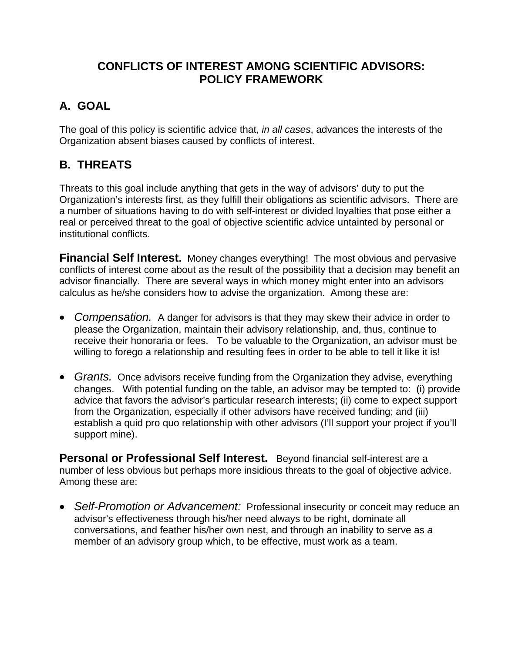## **CONFLICTS OF INTEREST AMONG SCIENTIFIC ADVISORS: POLICY FRAMEWORK**

## **A. GOAL**

The goal of this policy is scientific advice that, *in all cases*, advances the interests of the Organization absent biases caused by conflicts of interest.

## **B. THREATS**

Threats to this goal include anything that gets in the way of advisors' duty to put the Organization's interests first, as they fulfill their obligations as scientific advisors. There are a number of situations having to do with self-interest or divided loyalties that pose either a real or perceived threat to the goal of objective scientific advice untainted by personal or institutional conflicts.

**Financial Self Interest.** Money changes everything! The most obvious and pervasive conflicts of interest come about as the result of the possibility that a decision may benefit an advisor financially. There are several ways in which money might enter into an advisors calculus as he/she considers how to advise the organization. Among these are:

- *Compensation.* A danger for advisors is that they may skew their advice in order to please the Organization, maintain their advisory relationship, and, thus, continue to receive their honoraria or fees. To be valuable to the Organization, an advisor must be willing to forego a relationship and resulting fees in order to be able to tell it like it is!
- *Grants.* Once advisors receive funding from the Organization they advise, everything changes. With potential funding on the table, an advisor may be tempted to: (i) provide advice that favors the advisor's particular research interests; (ii) come to expect support from the Organization, especially if other advisors have received funding; and (iii) establish a quid pro quo relationship with other advisors (I'll support your project if you'll support mine).

**Personal or Professional Self Interest.** Beyond financial self-interest are a number of less obvious but perhaps more insidious threats to the goal of objective advice. Among these are:

• *Self-Promotion or Advancement:* Professional insecurity or conceit may reduce an advisor's effectiveness through his/her need always to be right, dominate all conversations, and feather his/her own nest, and through an inability to serve as *a* member of an advisory group which, to be effective, must work as a team.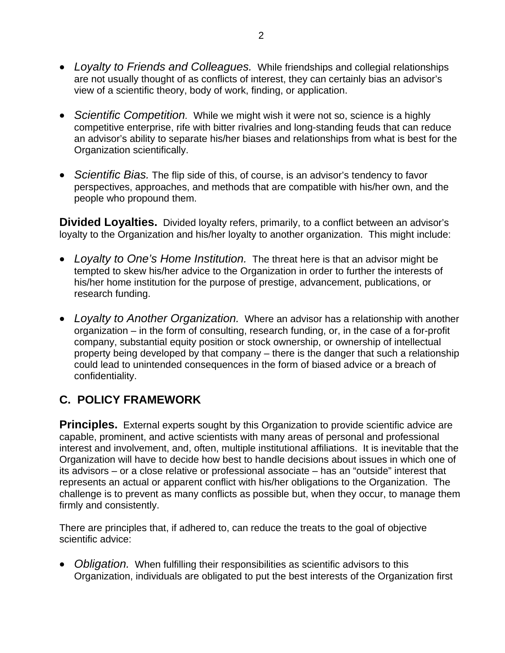- *Loyalty to Friends and Colleagues.* While friendships and collegial relationships are not usually thought of as conflicts of interest, they can certainly bias an advisor's view of a scientific theory, body of work, finding, or application.
- Scientific Competition. While we might wish it were not so, science is a highly competitive enterprise, rife with bitter rivalries and long-standing feuds that can reduce an advisor's ability to separate his/her biases and relationships from what is best for the Organization scientifically.
- *Scientific Bias.* The flip side of this, of course, is an advisor's tendency to favor perspectives, approaches, and methods that are compatible with his/her own, and the people who propound them.

Divided Loyalties. Divided loyalty refers, primarily, to a conflict between an advisor's loyalty to the Organization and his/her loyalty to another organization. This might include:

- Loyalty to One's Home Institution. The threat here is that an advisor might be tempted to skew his/her advice to the Organization in order to further the interests of his/her home institution for the purpose of prestige, advancement, publications, or research funding.
- *Loyalty to Another Organization.* Where an advisor has a relationship with another organization – in the form of consulting, research funding, or, in the case of a for-profit company, substantial equity position or stock ownership, or ownership of intellectual property being developed by that company – there is the danger that such a relationship could lead to unintended consequences in the form of biased advice or a breach of confidentiality.

## **C. POLICY FRAMEWORK**

its advisors – or a close relative or professional associate – has an "outside" interest that represents an actual or apparent conflict with his/her obligations to the Organization. The challenge is to prevent as many conflicts as possible but, when they occur, to manage them firmly and consistently. **Principles.** External experts sought by this Organization to provide scientific advice are capable, prominent, and active scientists with many areas of personal and professional interest and involvement, and, often, multiple institutional affiliations. It is inevitable that the Organization will have to decide how best to handle decisions about issues in which one of

scie ntific advice: There are principles that, if adhered to, can reduce the treats to the goal of objective

• Obligation. When fulfilling their responsibilities as scientific advisors to this Organization, individuals are obligated to put the best interests of the Organization first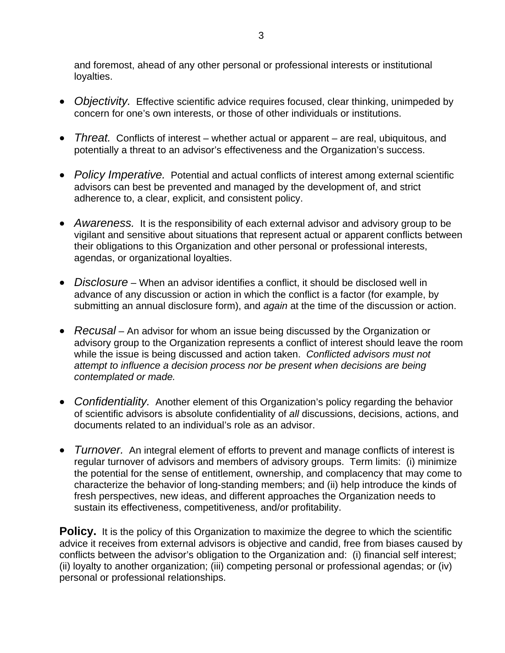and foremost, ahead of any other personal or professional interests or institutional loyalties.

- *Objectivity*. Effective scientific advice requires focused, clear thinking, unimpeded by concern for one's own interests, or those of other individuals or institutions.
- *Threat.* Conflicts of interest whether actual or apparent are real, ubiquitous, and potentially a threat to an advisor's effectiveness and the Organization's success.
- Policy Imperative. Potential and actual conflicts of interest among external scientific advisors can best be prevented and managed by the development of, and strict adherence to, a clear, explicit, and consistent policy.
- Awareness. It is the responsibility of each external advisor and advisory group to be vigilant and sensitive about situations that represent actual or apparent conflicts between their obligations to this Organization and other personal or professional interests, agendas, or organizational loyalties.
- *Disclosure* When an advisor identifies a conflict, it should be disclosed well in advance of any discussion or action in which the conflict is a factor (for example, by submitting an annual disclosure form), and *again* at the time of the discussion or action.
- *Recusal* An advisor for whom an issue being discussed by the Organization or advisory group to the Organization represents a conflict of interest should leave the room while the issue is being discussed and action taken. *Conflicted advisors must not attempt to influence a decision process nor be present when decisions are being contemplated or made.*
- Confidentiality. Another element of this Organization's policy regarding the behavior of scientific advisors is absolute confidentiality of *all* discussions, decisions, actions, and documents related to an individual's role as an advisor.
- *Turnover.* An integral element of efforts to prevent and manage conflicts of interest is regular turnover of advisors and members of advisory groups. Term limits: (i) minimize the potential for the sense of entitlement, ownership, and complacency that may come to characterize the behavior of long-standing members; and (ii) help introduce the kinds of fresh perspectives, new ideas, and different approaches the Organization needs to sustain its effectiveness, competitiveness, and/or profitability.

advice it receives from external advisors is objective and candid, free from biases caused by conflicts between the advisor's obligation to the Organization and: (i) financial self interest; **Policy.** It is the policy of this Organization to maximize the degree to which the scientific (ii) loyalty to another organization; (iii) competing personal or professional agendas; or (iv) personal or professional relationships.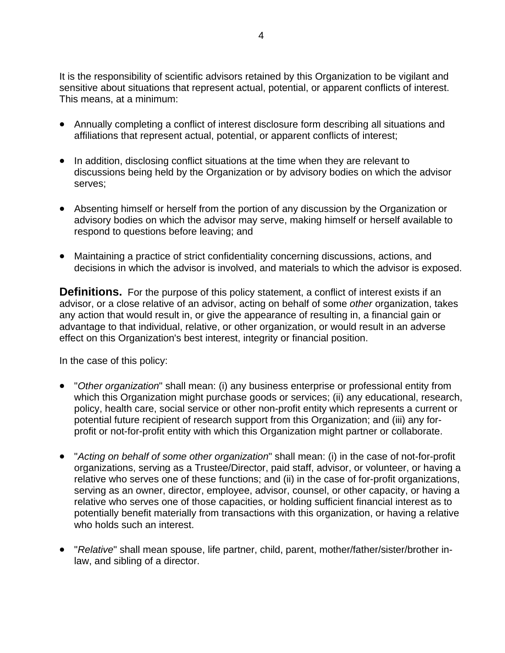It is the responsibility of scientific advisors retained by this Organization to be vigilant and sensitive about situations that represent actual, potential, or apparent conflicts of interest. This means, at a minimum:

- Annually completing a conflict of interest disclosure form describing all situations and affiliations that represent actual, potential, or apparent conflicts of interest;
- In addition, disclosing conflict situations at the time when they are relevant to discussions being held by the Organization or by advisory bodies on which the advisor serves;
- Absenting himself or herself from the portion of any discussion by the Organization or advisory bodies on which the advisor may serve, making himself or herself available to respond to questions before leaving; and
- decisions in which the advisor is involved, and materials to which the advisor is exposed. • Maintaining a practice of strict confidentiality concerning discussions, actions, and

Definitions. For the purpose of this policy statement, a conflict of interest exists if an advisor, or a close relative of an advisor, acting on behalf of some *other* organization, takes any action that would result in, or give the appearance of resulting in, a financial gain or advantage to that individual, relative, or other organization, or would result in an adverse effect on this Organization's best interest, integrity or financial position.

In t he case of this policy:

- "Other organization" shall mean: (i) any business enterprise or professional entity from which this Organization might purchase goods or services; (ii) any educational, research, policy, health care, social service or other non-profit entity which represents a current or potential future recipient of research support from this Organization; and (iii) any forprofit or not-for-profit entity with which this Organization might partner or collaborate.
- "*Acting on behalf of some other organization*" shall mean: (i) in the case of not-for-profit organizations, serving as a Trustee/Director, paid staff, advisor, or volunteer, or having a relative who serves one of these functions; and (ii) in the case of for-profit organizations, serving as an owner, director, employee, advisor, counsel, or other capacity, or having a relative who serves one of those capacities, or holding sufficient financial interest as to potentially benefit materially from transactions with this organization, or having a relative who holds such an interest.
- "*Relative*" shall mean spouse, life partner, child, parent, mother/father/sister/brother inlaw, and sibling of a director.